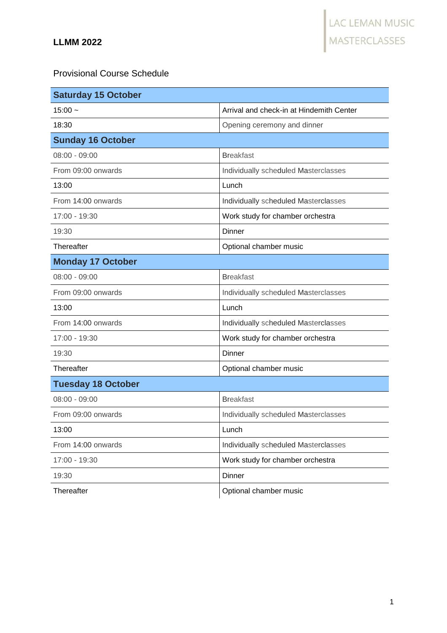## Provisional Course Schedule

| <b>Saturday 15 October</b> |                                          |
|----------------------------|------------------------------------------|
| $15:00 -$                  | Arrival and check-in at Hindemith Center |
| 18:30                      | Opening ceremony and dinner              |
| <b>Sunday 16 October</b>   |                                          |
| $08:00 - 09:00$            | <b>Breakfast</b>                         |
| From 09:00 onwards         | Individually scheduled Masterclasses     |
| 13:00                      | Lunch                                    |
| From 14:00 onwards         | Individually scheduled Masterclasses     |
| 17:00 - 19:30              | Work study for chamber orchestra         |
| 19:30                      | Dinner                                   |
| Thereafter                 | Optional chamber music                   |
| <b>Monday 17 October</b>   |                                          |
| $08:00 - 09:00$            | <b>Breakfast</b>                         |
| From 09:00 onwards         | Individually scheduled Masterclasses     |
| 13:00                      | Lunch                                    |
| From 14:00 onwards         | Individually scheduled Masterclasses     |
| 17:00 - 19:30              | Work study for chamber orchestra         |
| 19:30                      | Dinner                                   |
| Thereafter                 | Optional chamber music                   |
| <b>Tuesday 18 October</b>  |                                          |
| $08:00 - 09:00$            | <b>Breakfast</b>                         |
| From 09:00 onwards         | Individually scheduled Masterclasses     |
| 13:00                      | Lunch                                    |
| From 14:00 onwards         | Individually scheduled Masterclasses     |
| 17:00 - 19:30              | Work study for chamber orchestra         |
| 19:30                      | Dinner                                   |
| Thereafter                 | Optional chamber music                   |